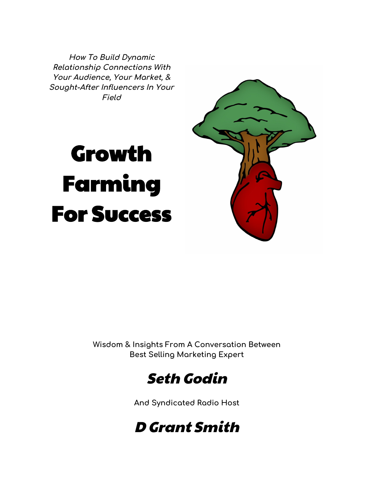**How To Build Dynamic Relationship Connections With Your Audience, Your Market, & Sought-After Influencers In Your Field**

# Growth Farming For Success



**Wisdom & Insights From A Conversation Between Best Selling Marketing Expert**



**And Syndicated Radio Host**

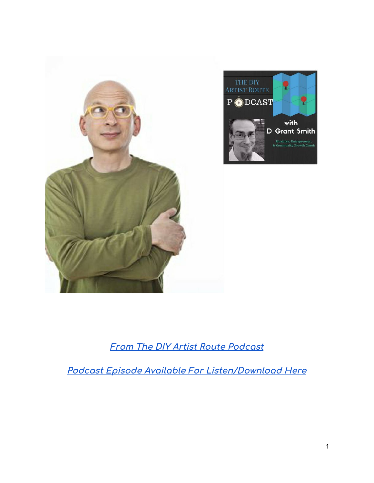

# **From The DIY Artist Route [Podcast](http://dgrantsmith.com/having-a-conversation-and-making-a-ruckus-with-seth-godin/)**

**Podcast Episode Available For [Listen/Download](http://dgrantsmith.com/having-a-conversation-and-making-a-ruckus-with-seth-godin/) Here**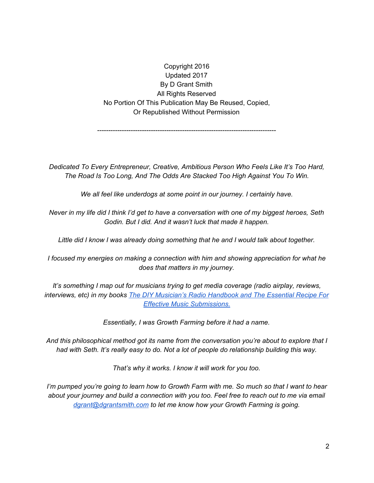Copyright 2016 Updated 2017 By D Grant Smith All Rights Reserved No Portion Of This Publication May Be Reused, Copied, Or Republished Without Permission

*--------------------------------------------------------------------------------*

*Dedicated To Every Entrepreneur, Creative, Ambitious Person Who Feels Like It's Too Hard, The Road Is Too Long, And The Odds Are Stacked Too High Against You To Win.*

*We all feel like underdogs at some point in our journey. I certainly have.*

Never in my life did I think I'd get to have a conversation with one of my biggest heroes, Seth *Godin. But I did. And it wasn't luck that made it happen.*

*Little did I know I was already doing something that he and I would talk about together.*

*I focused my energies on making a connection with him and showing appreciation for what he does that matters in my journey.*

*It's something I map out for musicians trying to get media coverage (radio airplay, reviews, interviews, etc) in my books The DIY [Musician's](https://dgrantsmith.com/books/) Radio Handbook and The Essential Recipe For Effective Music [Submissions.](https://dgrantsmith.com/books/)*

*Essentially, I was Growth Farming before it had a name.*

*And this philosophical method got its name from the conversation you're about to explore that I had with Seth. It's really easy to do. Not a lot of people do relationship building this way.*

*That's why it works. I know it will work for you too.*

I'm pumped you're going to learn how to Growth Farm with me. So much so that I want to hear about your journey and build a connection with you too. Feel free to reach out to me via email *[dgrant@dgrantsmith.com](mailto:dgrant@dgrantsmith.com) to let me know how your Growth Farming is going.*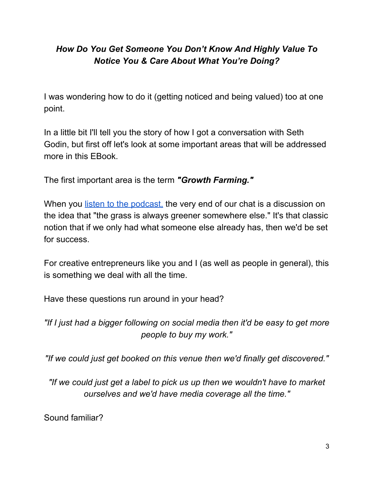# *How Do You Get Someone You Don't Know And Highly Value To Notice You & Care About What You're Doing?*

I was wondering how to do it (getting noticed and being valued) too at one point.

In a little bit I'll tell you the story of how I got a conversation with Seth Godin, but first off let's look at some important areas that will be addressed more in this EBook.

The first important area is the term *"Growth Farming."*

When you listen to the [podcast,](http://dgrantsmith.com/having-a-conversation-and-making-a-ruckus-with-seth-godin/) the very end of our chat is a discussion on the idea that "the grass is always greener somewhere else." It's that classic notion that if we only had what someone else already has, then we'd be set for success.

For creative entrepreneurs like you and I (as well as people in general), this is something we deal with all the time.

Have these questions run around in your head?

*"If I just had a bigger following on social media then it'd be easy to get more people to buy my work."*

*"If we could just get booked on this venue then we'd finally get discovered."*

*"If we could just get a label to pick us up then we wouldn't have to market ourselves and we'd have media coverage all the time."*

Sound familiar?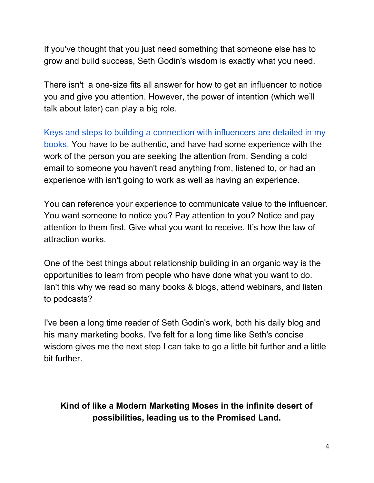If you've thought that you just need something that someone else has to grow and build success, Seth Godin's wisdom is exactly what you need.

There isn't a one-size fits all answer for how to get an influencer to notice you and give you attention. However, the power of intention (which we'll talk about later) can play a big role.

Keys and steps to building a [connection](https://dgrantsmith.com/books) with influencers are detailed in my [books.](https://dgrantsmith.com/books) You have to be authentic, and have had some experience with the work of the person you are seeking the attention from. Sending a cold email to someone you haven't read anything from, listened to, or had an experience with isn't going to work as well as having an experience.

You can reference your experience to communicate value to the influencer. You want someone to notice you? Pay attention to you? Notice and pay attention to them first. Give what you want to receive. It's how the law of attraction works.

One of the best things about relationship building in an organic way is the opportunities to learn from people who have done what you want to do. Isn't this why we read so many books & blogs, attend webinars, and listen to podcasts?

I've been a long time reader of Seth Godin's work, both his daily blog and his many marketing books. I've felt for a long time like Seth's concise wisdom gives me the next step I can take to go a little bit further and a little bit further.

## **Kind of like a Modern Marketing Moses in the infinite desert of possibilities, leading us to the Promised Land.**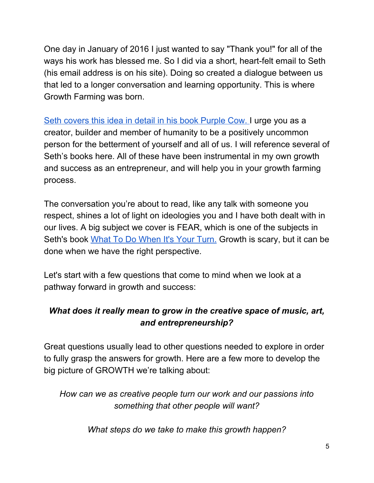One day in January of 2016 I just wanted to say "Thank you!" for all of the ways his work has blessed me. So I did via a short, heart-felt email to Seth (his email address is on his site). Doing so created a dialogue between us that led to a longer conversation and learning opportunity. This is where Growth Farming was born.

Seth [covers](https://www.amazon.com/Purple-Cow-New-Transform-Remarkable/dp/1591843170) this idea in detail in his book Purple Cow. I urge you as a creator, builder and member of humanity to be a positively uncommon person for the betterment of yourself and all of us. I will reference several of Seth's books here. All of these have been instrumental in my own growth and success as an entrepreneur, and will help you in your growth farming process.

The conversation you're about to read, like any talk with someone you respect, shines a lot of light on ideologies you and I have both dealt with in our lives. A big subject we cover is FEAR, which is one of the subjects in Seth's book What To Do [When](https://www.amazon.com/What-When-Your-Turn-Always/dp/1936719320/ref=sr_1_1?s=books&ie=UTF8&qid=1512599422&sr=1-1&keywords=what+to+do+when+it%27s+your+turn) It's Your Turn. Growth is scary, but it can be done when we have the right perspective.

Let's start with a few questions that come to mind when we look at a pathway forward in growth and success:

## *What does it really mean to grow in the creative space of music, art, and entrepreneurship?*

Great questions usually lead to other questions needed to explore in order to fully grasp the answers for growth. Here are a few more to develop the big picture of GROWTH we're talking about:

*How can we as creative people turn our work and our passions into something that other people will want?*

*What steps do we take to make this growth happen?*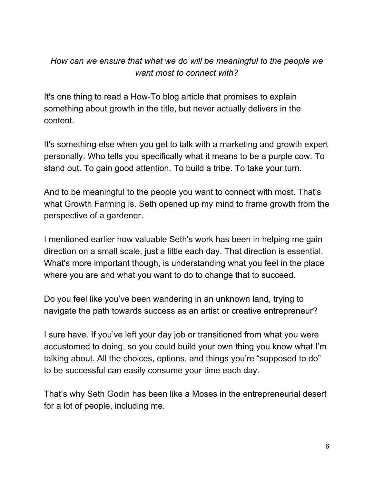## *How can we ensure that what we do will be meaningful to the people we want most to connect with?*

It's one thing to read a How-To blog article that promises to explain something about growth in the title, but never actually delivers in the content.

It's something else when you get to talk with a marketing and growth expert personally. Who tells you specifically what it means to be a purple cow. To stand out. To gain good attention. To build a tribe. To take your turn.

And to be meaningful to the people you want to connect with most. That's what Growth Farming is. Seth opened up my mind to frame growth from the perspective of a gardener.

I mentioned earlier how valuable Seth's work has been in helping me gain direction on a small scale, just a little each day. That direction is essential. What's more important though, is understanding what you feel in the place where you are and what you want to do to change that to succeed.

Do you feel like you've been wandering in an unknown land, trying to navigate the path towards success as an artist or creative entrepreneur?

I sure have. If you've left your day job or transitioned from what you were accustomed to doing, so you could build your own thing you know what I'm talking about. All the choices, options, and things you're "supposed to do" to be successful can easily consume your time each day.

That's why Seth Godin has been like a Moses in the entrepreneurial desert for a lot of people, including me.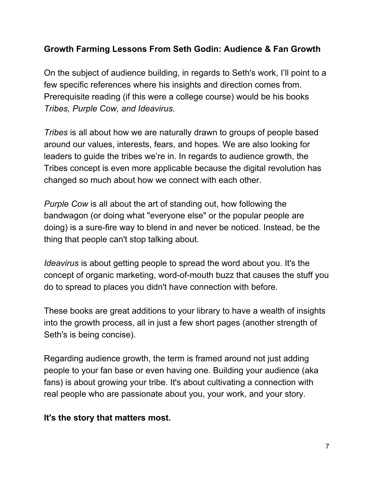#### **Growth Farming Lessons From Seth Godin: Audience & Fan Growth**

On the subject of audience building, in regards to Seth's work, I'll point to a few specific references where his insights and direction comes from. Prerequisite reading (if this were a college course) would be his books *Tribes, Purple Cow, and Ideavirus.*

*Tribes* is all about how we are naturally drawn to groups of people based around our values, interests, fears, and hopes. We are also looking for leaders to guide the tribes we're in. In regards to audience growth, the Tribes concept is even more applicable because the digital revolution has changed so much about how we connect with each other.

*Purple Cow* is all about the art of standing out, how following the bandwagon (or doing what "everyone else" or the popular people are doing) is a sure-fire way to blend in and never be noticed. Instead, be the thing that people can't stop talking about.

*Ideavirus* is about getting people to spread the word about you. It's the concept of organic marketing, word-of-mouth buzz that causes the stuff you do to spread to places you didn't have connection with before.

These books are great additions to your library to have a wealth of insights into the growth process, all in just a few short pages (another strength of Seth's is being concise).

Regarding audience growth, the term is framed around not just adding people to your fan base or even having one. Building your audience (aka fans) is about growing your tribe. It's about cultivating a connection with real people who are passionate about you, your work, and your story.

#### **It's the story that matters most.**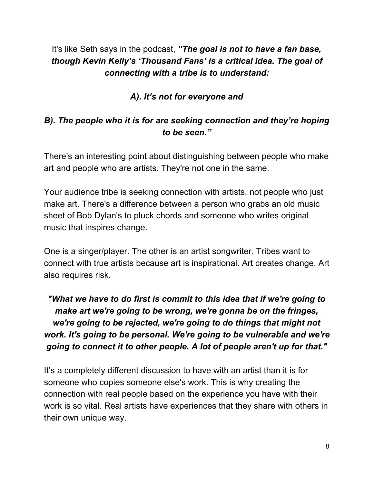# It's like Seth says in the podcast, *"The goal is not to have a fan base, though Kevin Kelly's 'Thousand Fans' is a critical idea. The goal of connecting with a tribe is to understand:*

## *A). It's not for everyone and*

## *B). The people who it is for are seeking connection and they're hoping to be seen."*

There's an interesting point about distinguishing between people who make art and people who are artists. They're not one in the same.

Your audience tribe is seeking connection with artists, not people who just make art. There's a difference between a person who grabs an old music sheet of Bob Dylan's to pluck chords and someone who writes original music that inspires change.

One is a singer/player. The other is an artist songwriter. Tribes want to connect with true artists because art is inspirational. Art creates change. Art also requires risk.

# *"What we have to do first is commit to this idea that if we're going to make art we're going to be wrong, we're gonna be on the fringes, we're going to be rejected, we're going to do things that might not work. It's going to be personal. We're going to be vulnerable and we're going to connect it to other people. A lot of people aren't up for that."*

It's a completely different discussion to have with an artist than it is for someone who copies someone else's work. This is why creating the connection with real people based on the experience you have with their work is so vital. Real artists have experiences that they share with others in their own unique way.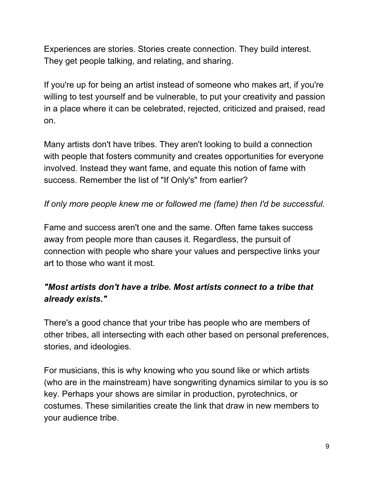Experiences are stories. Stories create connection. They build interest. They get people talking, and relating, and sharing.

If you're up for being an artist instead of someone who makes art, if you're willing to test yourself and be vulnerable, to put your creativity and passion in a place where it can be celebrated, rejected, criticized and praised, read on.

Many artists don't have tribes. They aren't looking to build a connection with people that fosters community and creates opportunities for everyone involved. Instead they want fame, and equate this notion of fame with success. Remember the list of "If Only's" from earlier?

#### *If only more people knew me or followed me (fame) then I'd be successful.*

Fame and success aren't one and the same. Often fame takes success away from people more than causes it. Regardless, the pursuit of connection with people who share your values and perspective links your art to those who want it most.

## *"Most artists don't have a tribe. Most artists connect to a tribe that already exists."*

There's a good chance that your tribe has people who are members of other tribes, all intersecting with each other based on personal preferences, stories, and ideologies.

For musicians, this is why knowing who you sound like or which artists (who are in the mainstream) have songwriting dynamics similar to you is so key. Perhaps your shows are similar in production, pyrotechnics, or costumes. These similarities create the link that draw in new members to your audience tribe.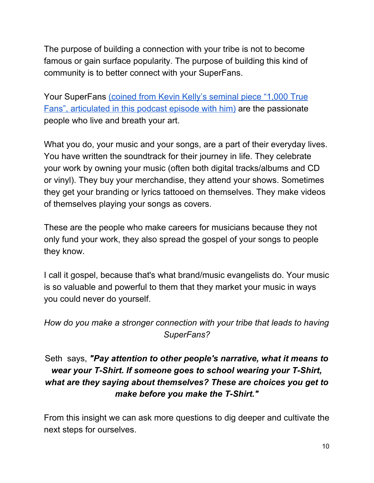The purpose of building a connection with your tribe is not to become famous or gain surface popularity. The purpose of building this kind of community is to better connect with your SuperFans.

Your SuperFans (coined from Kevin Kelly's [seminal](http://dgrantsmith.com/the-secrets-to-1000-true-superfans-with-kevin-kelly/) piece "1,000 True Fans", [articulated](http://dgrantsmith.com/the-secrets-to-1000-true-superfans-with-kevin-kelly/) in this podcast episode with him) are the passionate people who live and breath your art.

What you do, your music and your songs, are a part of their everyday lives. You have written the soundtrack for their journey in life. They celebrate your work by owning your music (often both digital tracks/albums and CD or vinyl). They buy your merchandise, they attend your shows. Sometimes they get your branding or lyrics tattooed on themselves. They make videos of themselves playing your songs as covers.

These are the people who make careers for musicians because they not only fund your work, they also spread the gospel of your songs to people they know.

I call it gospel, because that's what brand/music evangelists do. Your music is so valuable and powerful to them that they market your music in ways you could never do yourself.

## *How do you make a stronger connection with your tribe that leads to having SuperFans?*

## Seth says, *"Pay attention to other people's narrative, what it means to wear your T-Shirt. If someone goes to school wearing your T-Shirt, what are they saying about themselves? These are choices you get to make before you make the T-Shirt."*

From this insight we can ask more questions to dig deeper and cultivate the next steps for ourselves.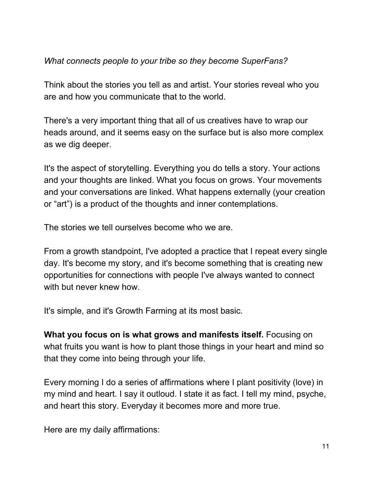#### *What connects people to your tribe so they become SuperFans?*

Think about the stories you tell as and artist. Your stories reveal who you are and how you communicate that to the world.

There's a very important thing that all of us creatives have to wrap our heads around, and it seems easy on the surface but is also more complex as we dig deeper.

It's the aspect of storytelling. Everything you do tells a story. Your actions and your thoughts are linked. What you focus on grows. Your movements and your conversations are linked. What happens externally (your creation or "art") is a product of the thoughts and inner contemplations.

The stories we tell ourselves become who we are.

From a growth standpoint, I've adopted a practice that I repeat every single day. It's become my story, and it's become something that is creating new opportunities for connections with people I've always wanted to connect with but never knew how.

It's simple, and it's Growth Farming at its most basic.

**What you focus on is what grows and manifests itself.** Focusing on what fruits you want is how to plant those things in your heart and mind so that they come into being through your life.

Every morning I do a series of affirmations where I plant positivity (love) in my mind and heart. I say it outloud. I state it as fact. I tell my mind, psyche, and heart this story. Everyday it becomes more and more true.

Here are my daily affirmations: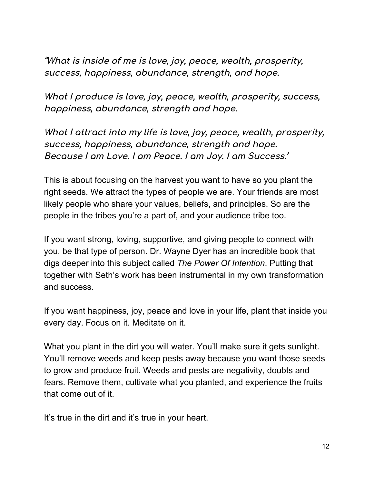**"What is inside of me is love, joy, peace, wealth, prosperity, success, happiness, abundance, strength, and hope.**

**What I produce is love, joy, peace, wealth, prosperity, success, happiness, abundance, strength and hope.**

**What I attract into my life is love, joy, peace, wealth, prosperity, success, happiness, abundance, strength and hope. Because I am Love. I am Peace. I am Joy. I am Success.'**

This is about focusing on the harvest you want to have so you plant the right seeds. We attract the types of people we are. Your friends are most likely people who share your values, beliefs, and principles. So are the people in the tribes you're a part of, and your audience tribe too.

If you want strong, loving, supportive, and giving people to connect with you, be that type of person. Dr. Wayne Dyer has an incredible book that digs deeper into this subject called *The Power Of Intention*. Putting that together with Seth's work has been instrumental in my own transformation and success.

If you want happiness, joy, peace and love in your life, plant that inside you every day. Focus on it. Meditate on it.

What you plant in the dirt you will water. You'll make sure it gets sunlight. You'll remove weeds and keep pests away because you want those seeds to grow and produce fruit. Weeds and pests are negativity, doubts and fears. Remove them, cultivate what you planted, and experience the fruits that come out of it.

It's true in the dirt and it's true in your heart.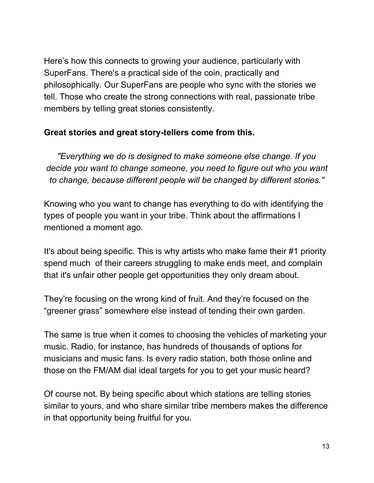Here's how this connects to growing your audience, particularly with SuperFans. There's a practical side of the coin, practically and philosophically. Our SuperFans are people who sync with the stories we tell. Those who create the strong connections with real, passionate tribe members by telling great stories consistently.

#### **Great stories and great story-tellers come from this.**

*"Everything we do is designed to make someone else change. If you decide you want to change someone, you need to figure out who you want to change, because different people will be changed by different stories."*

Knowing who you want to change has everything to do with identifying the types of people you want in your tribe. Think about the affirmations I mentioned a moment ago.

It's about being specific. This is why artists who make fame their #1 priority spend much of their careers struggling to make ends meet, and complain that it's unfair other people get opportunities they only dream about.

They're focusing on the wrong kind of fruit. And they're focused on the "greener grass" somewhere else instead of tending their own garden.

The same is true when it comes to choosing the vehicles of marketing your music. Radio, for instance, has hundreds of thousands of options for musicians and music fans. Is every radio station, both those online and those on the FM/AM dial ideal targets for you to get your music heard?

Of course not. By being specific about which stations are telling stories similar to yours, and who share similar tribe members makes the difference in that opportunity being fruitful for you.